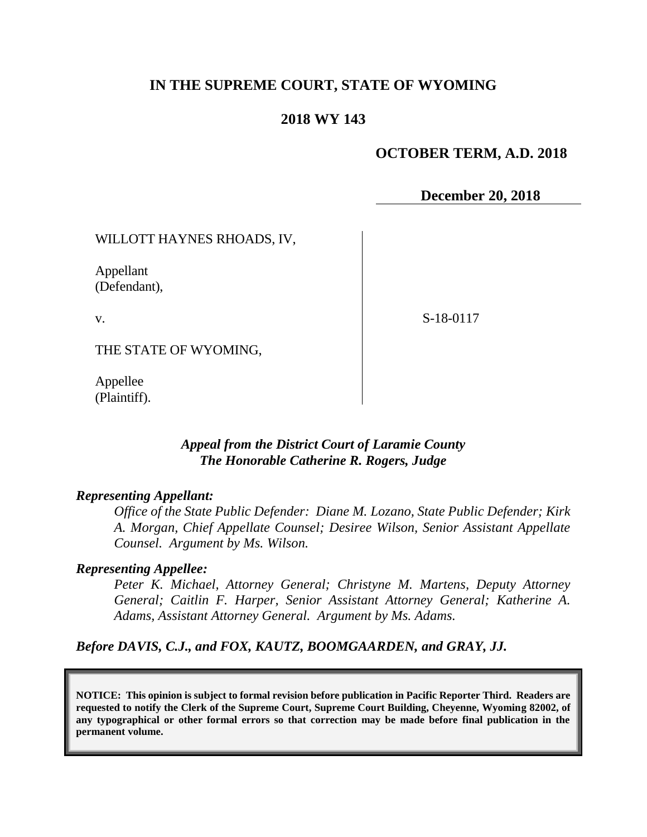# **IN THE SUPREME COURT, STATE OF WYOMING**

### **2018 WY 143**

## **OCTOBER TERM, A.D. 2018**

**December 20, 2018**

WILLOTT HAYNES RHOADS, IV,

Appellant (Defendant),

v.

S-18-0117

THE STATE OF WYOMING,

Appellee (Plaintiff).

## *Appeal from the District Court of Laramie County The Honorable Catherine R. Rogers, Judge*

#### *Representing Appellant:*

*Office of the State Public Defender: Diane M. Lozano, State Public Defender; Kirk A. Morgan, Chief Appellate Counsel; Desiree Wilson, Senior Assistant Appellate Counsel. Argument by Ms. Wilson.*

#### *Representing Appellee:*

*Peter K. Michael, Attorney General; Christyne M. Martens, Deputy Attorney General; Caitlin F. Harper, Senior Assistant Attorney General; Katherine A. Adams, Assistant Attorney General. Argument by Ms. Adams.*

*Before DAVIS, C.J., and FOX, KAUTZ, BOOMGAARDEN, and GRAY, JJ.*

**NOTICE: This opinion is subject to formal revision before publication in Pacific Reporter Third. Readers are requested to notify the Clerk of the Supreme Court, Supreme Court Building, Cheyenne, Wyoming 82002, of any typographical or other formal errors so that correction may be made before final publication in the permanent volume.**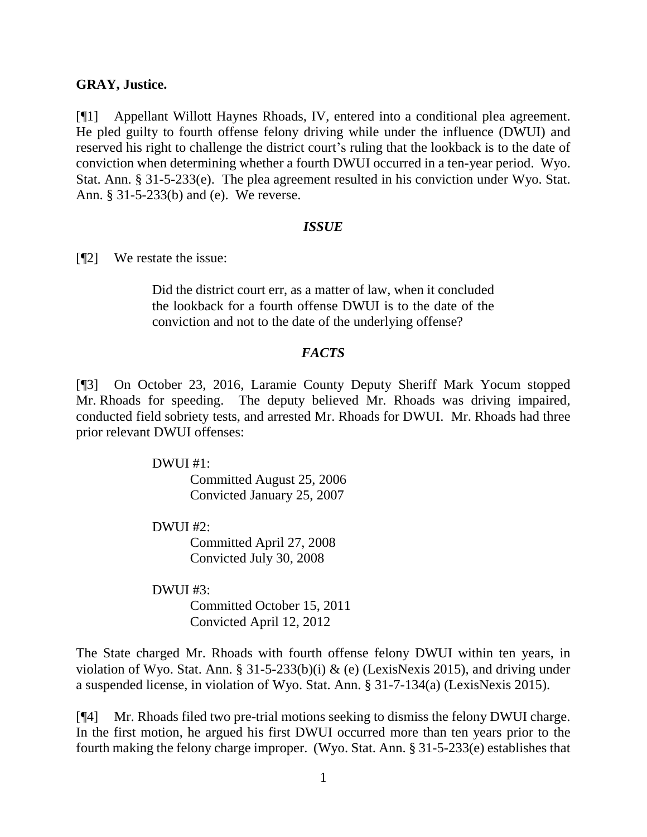### **GRAY, Justice.**

[¶1] Appellant Willott Haynes Rhoads, IV, entered into a conditional plea agreement. He pled guilty to fourth offense felony driving while under the influence (DWUI) and reserved his right to challenge the district court's ruling that the lookback is to the date of conviction when determining whether a fourth DWUI occurred in a ten-year period. Wyo. Stat. Ann. § 31-5-233(e). The plea agreement resulted in his conviction under Wyo. Stat. Ann. § 31-5-233(b) and (e). We reverse.

### *ISSUE*

[¶2] We restate the issue:

Did the district court err, as a matter of law, when it concluded the lookback for a fourth offense DWUI is to the date of the conviction and not to the date of the underlying offense?

## *FACTS*

[¶3] On October 23, 2016, Laramie County Deputy Sheriff Mark Yocum stopped Mr. Rhoads for speeding. The deputy believed Mr. Rhoads was driving impaired, conducted field sobriety tests, and arrested Mr. Rhoads for DWUI. Mr. Rhoads had three prior relevant DWUI offenses:

DWUI #1:

Committed August 25, 2006 Convicted January 25, 2007

DWUI #2:

Committed April 27, 2008 Convicted July 30, 2008

DWUI #3:

Committed October 15, 2011 Convicted April 12, 2012

The State charged Mr. Rhoads with fourth offense felony DWUI within ten years, in violation of Wyo. Stat. Ann. § 31-5-233(b)(i) & (e) (LexisNexis 2015), and driving under a suspended license, in violation of Wyo. Stat. Ann. § 31-7-134(a) (LexisNexis 2015).

[¶4] Mr. Rhoads filed two pre-trial motions seeking to dismiss the felony DWUI charge. In the first motion, he argued his first DWUI occurred more than ten years prior to the fourth making the felony charge improper. (Wyo. Stat. Ann. § 31-5-233(e) establishes that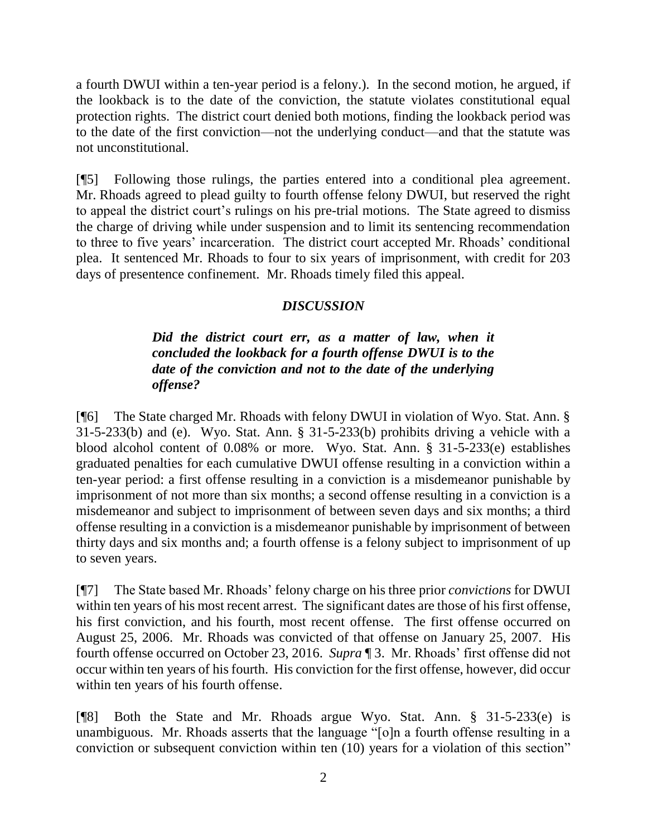a fourth DWUI within a ten-year period is a felony.). In the second motion, he argued, if the lookback is to the date of the conviction, the statute violates constitutional equal protection rights. The district court denied both motions, finding the lookback period was to the date of the first conviction—not the underlying conduct—and that the statute was not unconstitutional.

[¶5] Following those rulings, the parties entered into a conditional plea agreement. Mr. Rhoads agreed to plead guilty to fourth offense felony DWUI, but reserved the right to appeal the district court's rulings on his pre-trial motions. The State agreed to dismiss the charge of driving while under suspension and to limit its sentencing recommendation to three to five years' incarceration. The district court accepted Mr. Rhoads' conditional plea. It sentenced Mr. Rhoads to four to six years of imprisonment, with credit for 203 days of presentence confinement. Mr. Rhoads timely filed this appeal.

# *DISCUSSION*

# *Did the district court err, as a matter of law, when it concluded the lookback for a fourth offense DWUI is to the date of the conviction and not to the date of the underlying offense?*

[¶6] The State charged Mr. Rhoads with felony DWUI in violation of Wyo. Stat. Ann. § 31-5-233(b) and (e). Wyo. Stat. Ann. § 31-5-233(b) prohibits driving a vehicle with a blood alcohol content of 0.08% or more. Wyo. Stat. Ann. § 31-5-233(e) establishes graduated penalties for each cumulative DWUI offense resulting in a conviction within a ten-year period: a first offense resulting in a conviction is a misdemeanor punishable by imprisonment of not more than six months; a second offense resulting in a conviction is a misdemeanor and subject to imprisonment of between seven days and six months; a third offense resulting in a conviction is a misdemeanor punishable by imprisonment of between thirty days and six months and; a fourth offense is a felony subject to imprisonment of up to seven years.

[¶7] The State based Mr. Rhoads' felony charge on his three prior *convictions* for DWUI within ten years of his most recent arrest. The significant dates are those of his first offense, his first conviction, and his fourth, most recent offense. The first offense occurred on August 25, 2006. Mr. Rhoads was convicted of that offense on January 25, 2007. His fourth offense occurred on October 23, 2016. *Supra* ¶ 3. Mr. Rhoads' first offense did not occur within ten years of his fourth. His conviction for the first offense, however, did occur within ten years of his fourth offense.

[¶8] Both the State and Mr. Rhoads argue Wyo. Stat. Ann. § 31-5-233(e) is unambiguous. Mr. Rhoads asserts that the language "[o]n a fourth offense resulting in a conviction or subsequent conviction within ten (10) years for a violation of this section"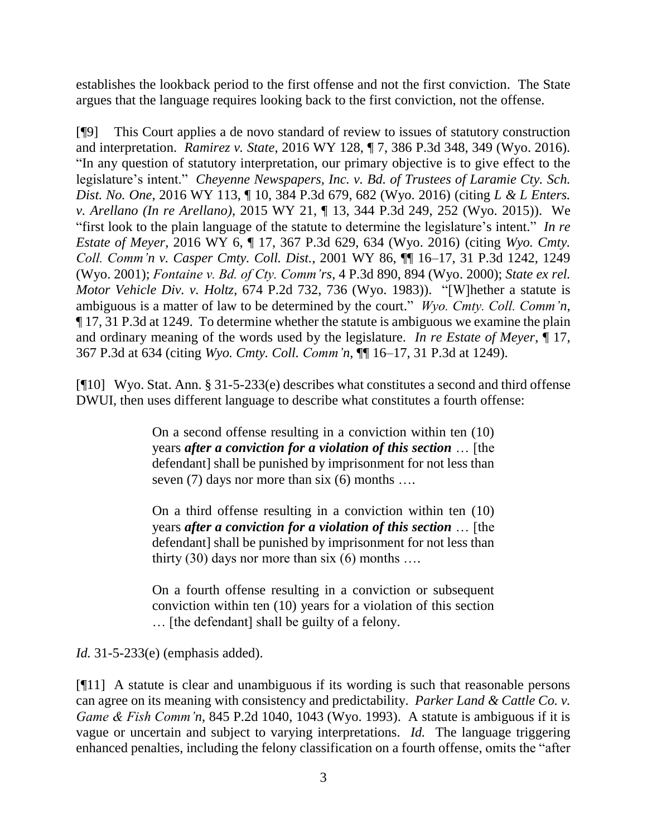establishes the lookback period to the first offense and not the first conviction. The State argues that the language requires looking back to the first conviction, not the offense.

[¶9] This Court applies a de novo standard of review to issues of statutory construction and interpretation. *Ramirez v. State*, 2016 WY 128, ¶ 7, 386 P.3d 348, 349 (Wyo. 2016). "In any question of statutory interpretation, our primary objective is to give effect to the legislature's intent." *Cheyenne Newspapers, Inc. v. Bd. of Trustees of Laramie Cty. Sch. Dist. No. One*, 2016 WY 113, ¶ 10, 384 P.3d 679, 682 (Wyo. 2016) (citing *L & L Enters. v. Arellano (In re Arellano)*, 2015 WY 21, ¶ 13, 344 P.3d 249, 252 (Wyo. 2015)). We "first look to the plain language of the statute to determine the legislature's intent." *In re Estate of Meyer*, 2016 WY 6, ¶ 17, 367 P.3d 629, 634 (Wyo. 2016) (citing *Wyo. Cmty. Coll. Comm'n v. Casper Cmty. Coll. Dist.*, 2001 WY 86, ¶¶ 16–17, 31 P.3d 1242, 1249 (Wyo. 2001); *Fontaine v. Bd. of Cty. Comm'rs*, 4 P.3d 890, 894 (Wyo. 2000); *State ex rel. Motor Vehicle Div. v. Holtz*, 674 P.2d 732, 736 (Wyo. 1983)). "[W]hether a statute is ambiguous is a matter of law to be determined by the court." *Wyo. Cmty. Coll. Comm'n*, ¶ 17, 31 P.3d at 1249. To determine whether the statute is ambiguous we examine the plain and ordinary meaning of the words used by the legislature. *In re Estate of Meyer*, ¶ 17, 367 P.3d at 634 (citing *Wyo. Cmty. Coll. Comm'n*, ¶¶ 16–17, 31 P.3d at 1249).

[¶10] Wyo. Stat. Ann. § 31-5-233(e) describes what constitutes a second and third offense DWUI, then uses different language to describe what constitutes a fourth offense:

> On a second offense resulting in a conviction within ten (10) years *after a conviction for a violation of this section* … [the defendant] shall be punished by imprisonment for not less than seven (7) days nor more than six (6) months ....

> On a third offense resulting in a conviction within ten (10) years *after a conviction for a violation of this section* … [the defendant] shall be punished by imprisonment for not less than thirty  $(30)$  days nor more than six  $(6)$  months ...

> On a fourth offense resulting in a conviction or subsequent conviction within ten (10) years for a violation of this section … [the defendant] shall be guilty of a felony.

*Id.* 31-5-233(e) (emphasis added).

[¶11] A statute is clear and unambiguous if its wording is such that reasonable persons can agree on its meaning with consistency and predictability. *Parker Land & Cattle Co. v. Game & Fish Comm'n*, 845 P.2d 1040, 1043 (Wyo. 1993). A statute is ambiguous if it is vague or uncertain and subject to varying interpretations. *Id.* The language triggering enhanced penalties, including the felony classification on a fourth offense, omits the "after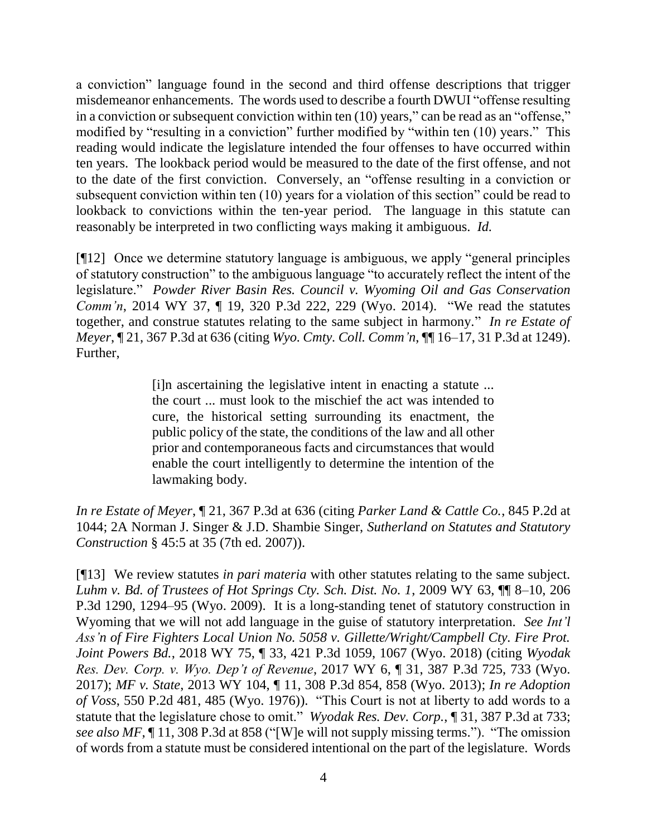a conviction" language found in the second and third offense descriptions that trigger misdemeanor enhancements. The words used to describe a fourth DWUI "offense resulting in a conviction or subsequent conviction within ten (10) years," can be read as an "offense," modified by "resulting in a conviction" further modified by "within ten (10) years." This reading would indicate the legislature intended the four offenses to have occurred within ten years. The lookback period would be measured to the date of the first offense, and not to the date of the first conviction. Conversely, an "offense resulting in a conviction or subsequent conviction within ten (10) years for a violation of this section" could be read to lookback to convictions within the ten-year period. The language in this statute can reasonably be interpreted in two conflicting ways making it ambiguous. *Id.*

[¶12] Once we determine statutory language is ambiguous, we apply "general principles of statutory construction" to the ambiguous language "to accurately reflect the intent of the legislature." *Powder River Basin Res. Council v. Wyoming Oil and Gas Conservation Comm'n*, 2014 WY 37, ¶ 19, 320 P.3d 222, 229 (Wyo. 2014). "We read the statutes together, and construe statutes relating to the same subject in harmony." *In re Estate of Meyer*, ¶ 21, 367 P.3d at 636 (citing *Wyo. Cmty. Coll. Comm'n*, ¶¶ 16–17, 31 P.3d at 1249). Further,

> [i]n ascertaining the legislative intent in enacting a statute ... the court ... must look to the mischief the act was intended to cure, the historical setting surrounding its enactment, the public policy of the state, the conditions of the law and all other prior and contemporaneous facts and circumstances that would enable the court intelligently to determine the intention of the lawmaking body.

*In re Estate of Meyer*, ¶ 21, 367 P.3d at 636 (citing *Parker Land & Cattle Co.*, 845 P.2d at 1044; 2A Norman J. Singer & J.D. Shambie Singer, *Sutherland on Statutes and Statutory Construction* § 45:5 at 35 (7th ed. 2007)).

[¶13] We review statutes *in pari materia* with other statutes relating to the same subject. *Luhm v. Bd. of Trustees of Hot Springs Cty. Sch. Dist. No. 1*, 2009 WY 63, ¶¶ 8–10, 206 P.3d 1290, 1294–95 (Wyo. 2009). It is a long-standing tenet of statutory construction in Wyoming that we will not add language in the guise of statutory interpretation. *See Int'l Ass'n of Fire Fighters Local Union No. 5058 v. Gillette/Wright/Campbell Cty. Fire Prot. Joint Powers Bd.*, 2018 WY 75, ¶ 33, 421 P.3d 1059, 1067 (Wyo. 2018) (citing *Wyodak Res. Dev. Corp. v. Wyo. Dep't of Revenue*, 2017 WY 6, ¶ 31, 387 P.3d 725, 733 (Wyo. 2017); *MF v. State*, 2013 WY 104, ¶ 11, 308 P.3d 854, 858 (Wyo. 2013); *In re Adoption of Voss*, 550 P.2d 481, 485 (Wyo. 1976)). "This Court is not at liberty to add words to a statute that the legislature chose to omit." *Wyodak Res. Dev. Corp.*, ¶ 31, 387 P.3d at 733; *see also MF*, ¶ 11, 308 P.3d at 858 ("[W]e will not supply missing terms."). "The omission of words from a statute must be considered intentional on the part of the legislature. Words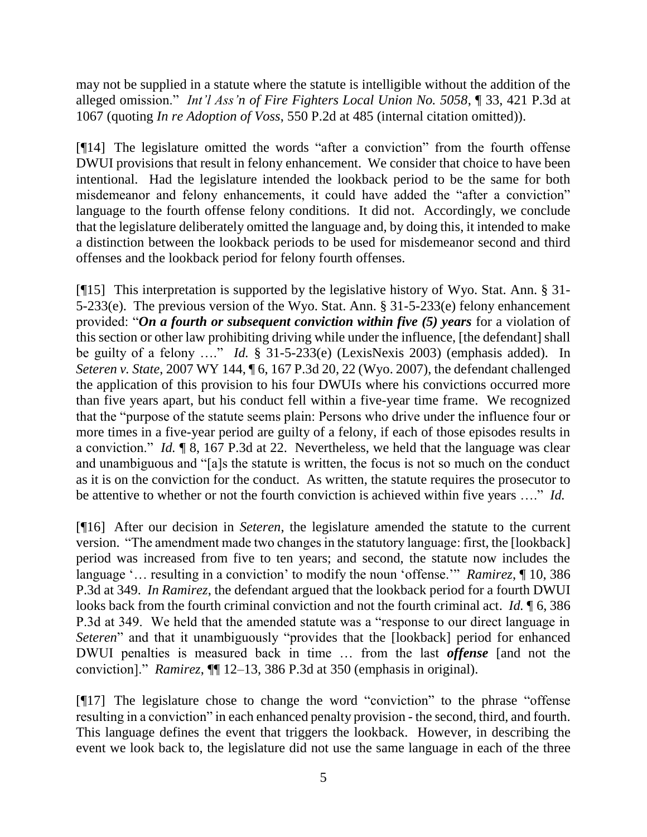may not be supplied in a statute where the statute is intelligible without the addition of the alleged omission." *Int'l Ass'n of Fire Fighters Local Union No. 5058*, ¶ 33, 421 P.3d at 1067 (quoting *In re Adoption of Voss*, 550 P.2d at 485 (internal citation omitted)).

[¶14] The legislature omitted the words "after a conviction" from the fourth offense DWUI provisions that result in felony enhancement. We consider that choice to have been intentional. Had the legislature intended the lookback period to be the same for both misdemeanor and felony enhancements, it could have added the "after a conviction" language to the fourth offense felony conditions. It did not. Accordingly, we conclude that the legislature deliberately omitted the language and, by doing this, it intended to make a distinction between the lookback periods to be used for misdemeanor second and third offenses and the lookback period for felony fourth offenses.

[¶15] This interpretation is supported by the legislative history of Wyo. Stat. Ann. § 31- 5-233(e). The previous version of the Wyo. Stat. Ann. § 31-5-233(e) felony enhancement provided: "*On a fourth or subsequent conviction within five (5) years* for a violation of this section or other law prohibiting driving while under the influence, [the defendant] shall be guilty of a felony …." *Id.* § 31-5-233(e) (LexisNexis 2003) (emphasis added). In *Seteren v. State*, 2007 WY 144, ¶ 6, 167 P.3d 20, 22 (Wyo. 2007), the defendant challenged the application of this provision to his four DWUIs where his convictions occurred more than five years apart, but his conduct fell within a five-year time frame. We recognized that the "purpose of the statute seems plain: Persons who drive under the influence four or more times in a five-year period are guilty of a felony, if each of those episodes results in a conviction." *Id.* ¶ 8, 167 P.3d at 22. Nevertheless, we held that the language was clear and unambiguous and "[a]s the statute is written, the focus is not so much on the conduct as it is on the conviction for the conduct. As written, the statute requires the prosecutor to be attentive to whether or not the fourth conviction is achieved within five years …." *Id.*

[¶16] After our decision in *Seteren*, the legislature amended the statute to the current version. "The amendment made two changes in the statutory language: first, the [lookback] period was increased from five to ten years; and second, the statute now includes the language '… resulting in a conviction' to modify the noun 'offense.'" *Ramirez*, ¶ 10, 386 P.3d at 349. *In Ramirez*, the defendant argued that the lookback period for a fourth DWUI looks back from the fourth criminal conviction and not the fourth criminal act. *Id.* ¶ 6, 386 P.3d at 349. We held that the amended statute was a "response to our direct language in *Seteren*" and that it unambiguously "provides that the [lookback] period for enhanced DWUI penalties is measured back in time … from the last *offense* [and not the conviction]." *Ramirez*, ¶¶ 12–13, 386 P.3d at 350 (emphasis in original).

[¶17] The legislature chose to change the word "conviction" to the phrase "offense resulting in a conviction" in each enhanced penalty provision - the second, third, and fourth. This language defines the event that triggers the lookback. However, in describing the event we look back to, the legislature did not use the same language in each of the three